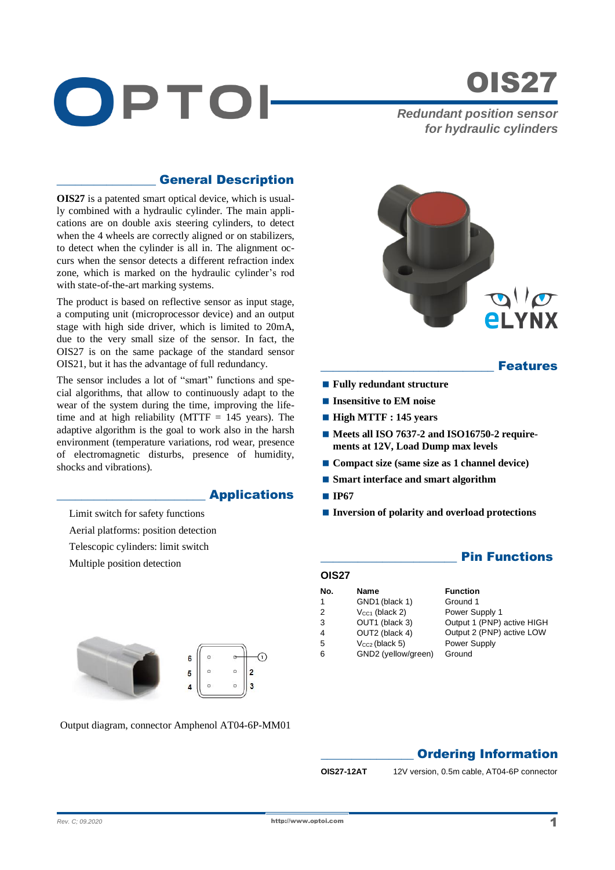

# OIS27

*Redundant position sensor for hydraulic cylinders*

# \_\_\_\_\_\_\_\_\_\_\_\_\_\_\_\_ General Description

**OIS27** is a patented smart optical device, which is usually combined with a hydraulic cylinder. The main applications are on double axis steering cylinders, to detect when the 4 wheels are correctly aligned or on stabilizers, to detect when the cylinder is all in. The alignment occurs when the sensor detects a different refraction index zone, which is marked on the hydraulic cylinder's rod with state-of-the-art marking systems.

The product is based on reflective sensor as input stage, a computing unit (microprocessor device) and an output stage with high side driver, which is limited to 20mA, due to the very small size of the sensor. In fact, the OIS27 is on the same package of the standard sensor OIS21, but it has the advantage of full redundancy.

The sensor includes a lot of "smart" functions and special algorithms, that allow to continuously adapt to the wear of the system during the time, improving the lifetime and at high reliability (MTTF  $= 145$  years). The adaptive algorithm is the goal to work also in the harsh environment (temperature variations, rod wear, presence of electromagnetic disturbs, presence of humidity, shocks and vibrations).

#### \_\_\_\_\_\_\_\_\_\_\_\_\_\_\_\_\_\_\_\_\_\_\_\_ Applications

Limit switch for safety functions Aerial platforms: position detection Telescopic cylinders: limit switch Multiple position detection



Output diagram, connector Amphenol AT04-6P-MM01



#### **Features**

- **Fully redundant structure**
- **Insensitive to EM noise**
- **High MTTF : 145 years**
- Meets all ISO 7637-2 and ISO16750-2 require**ments at 12V, Load Dump max levels**
- **Compact size** (same size as 1 channel device)
- **Smart interface and smart algorithm**
- **IP67**
- **Inversion of polarity and overload protections**

## **OIS27**

| No. | <b>Name</b>         | <b>Function</b>            |
|-----|---------------------|----------------------------|
| 1   | GND1 (black 1)      | Ground 1                   |
| 2   | $V_{CC1}$ (black 2) | Power Supply 1             |
| 3   | OUT1 (black 3)      | Output 1 (PNP) active HIGH |
| 4   | OUT2 (black 4)      | Output 2 (PNP) active LOW  |
| 5   | $V_{CC2}$ (black 5) | Power Supply               |
| 6   | GND2 (yellow/green) | Ground                     |
|     |                     |                            |

# **Ordering Information**

**Pin Functions** 

**OIS27-12AT** 12V version, 0.5m cable, AT04-6P connector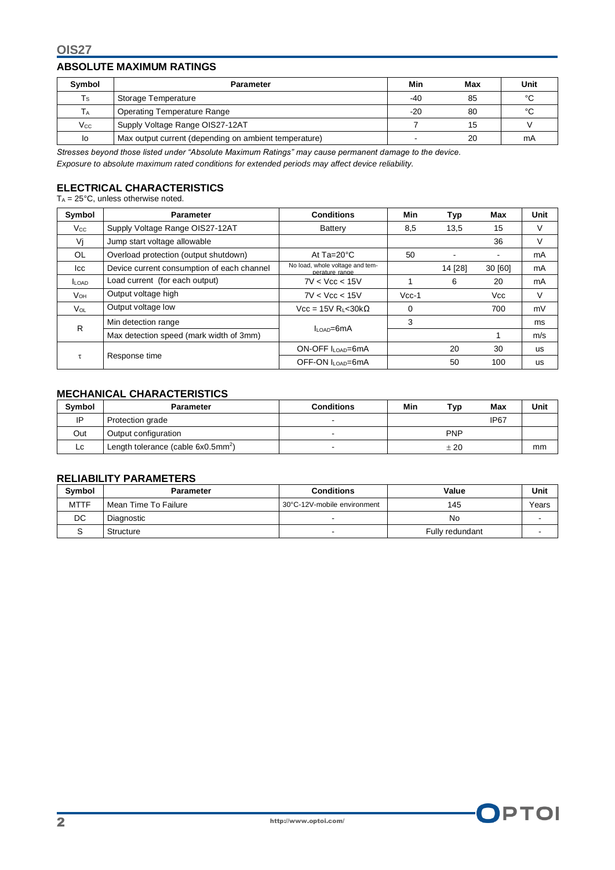#### **ABSOLUTE MAXIMUM RATINGS**

| Symbol                  | <b>Parameter</b>                                      | Min   | Max | Unit |
|-------------------------|-------------------------------------------------------|-------|-----|------|
| $\mathsf T_{\mathsf S}$ | Storage Temperature                                   | $-40$ | 85  | °C   |
| ТA                      | <b>Operating Temperature Range</b>                    | -20   | 80  | °C   |
| $V_{\rm CC}$            | Supply Voltage Range OIS27-12AT                       |       | 15  |      |
| lo                      | Max output current (depending on ambient temperature) |       | 20  | mA   |

*Stresses beyond those listed under "Absolute Maximum Ratings" may cause permanent damage to the device. Exposure to absolute maximum rated conditions for extended periods may affect device reliability.*

## **ELECTRICAL CHARACTERISTICS**

 $T_A = 25^\circ \text{C}$ , unless otherwise noted.

| Symbol       | Parameter                                  | <b>Conditions</b>                                 | Min      | Typ     | Max     | Unit      |
|--------------|--------------------------------------------|---------------------------------------------------|----------|---------|---------|-----------|
| $V_{\rm CC}$ | Supply Voltage Range OIS27-12AT            | Battery                                           | 8,5      | 13,5    | 15      | V         |
| Vi           | Jump start voltage allowable               |                                                   |          |         | 36      | V         |
| OL.          | Overload protection (output shutdown)      | At $Ta=20^{\circ}C$                               | 50       |         |         | mA        |
| lcc          | Device current consumption of each channel | No load, whole voltage and tem-<br>perature range |          | 14 [28] | 30 [60] | mA        |
| <b>LOAD</b>  | Load current (for each output)             | 7V < Vcc < 15V                                    |          | 6       | 20      | mA        |
| Vон          | Output voltage high                        | 7V < Vcc < 15V                                    | $Vcc-1$  |         | Vcc     | V         |
| $V_{OL}$     | Output voltage low                         | $Vec = 15V R_1 < 30k\Omega$                       | $\Omega$ |         | 700     | mV        |
| R            | Min detection range                        |                                                   | 3        |         |         | ms        |
|              | Max detection speed (mark width of 3mm)    | $IL$ $\alpha$ $\alpha$ = 6 mA                     |          |         |         | m/s       |
|              | Response time                              | <b>ON-OFF ILOAD=6mA</b>                           |          | 20      | 30      | <b>us</b> |
|              |                                            | OFF-ON I <sub>LOAD</sub> =6mA                     |          | 50      | 100     | <b>us</b> |

# **MECHANICAL CHARACTERISTICS**

| Symbol | Parameter                             | <b>Conditions</b> | Min | ⊤ур        | Max              | Unit |
|--------|---------------------------------------|-------------------|-----|------------|------------------|------|
| IP     | Protection grade                      |                   |     |            | IP <sub>67</sub> |      |
| Out    | Output configuration                  |                   |     | <b>PNP</b> |                  |      |
| Lc     | Length tolerance (cable $6x0.5mm^2$ ) |                   |     | ± 20       |                  | mm   |

#### **RELIABILITY PARAMETERS**

| <b>Symbol</b> | Parameter            | <b>Conditions</b>           | Value           | Unit  |
|---------------|----------------------|-----------------------------|-----------------|-------|
| <b>MTTF</b>   | Mean Time To Failure | 30°C-12V-mobile environment | 145             | Years |
| DC            | Diagnostic           | -                           | No              |       |
|               | Structure            | -                           | Fully redundant |       |

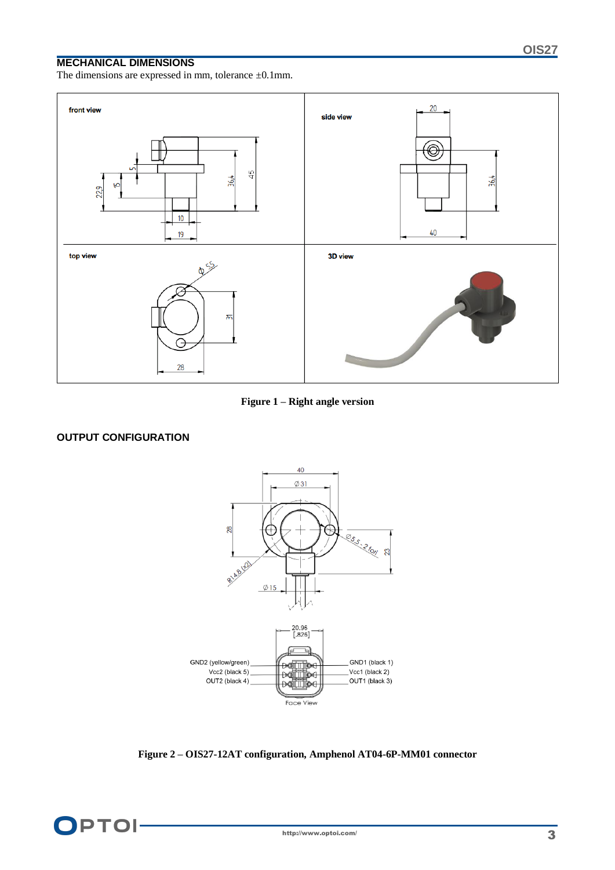## **MECHANICAL DIMENSIONS**

The dimensions are expressed in mm, tolerance  $\pm 0.1$ mm.





## **OUTPUT CONFIGURATION**



**Figure 2 – OIS27-12AT configuration, Amphenol AT04-6P-MM01 connector**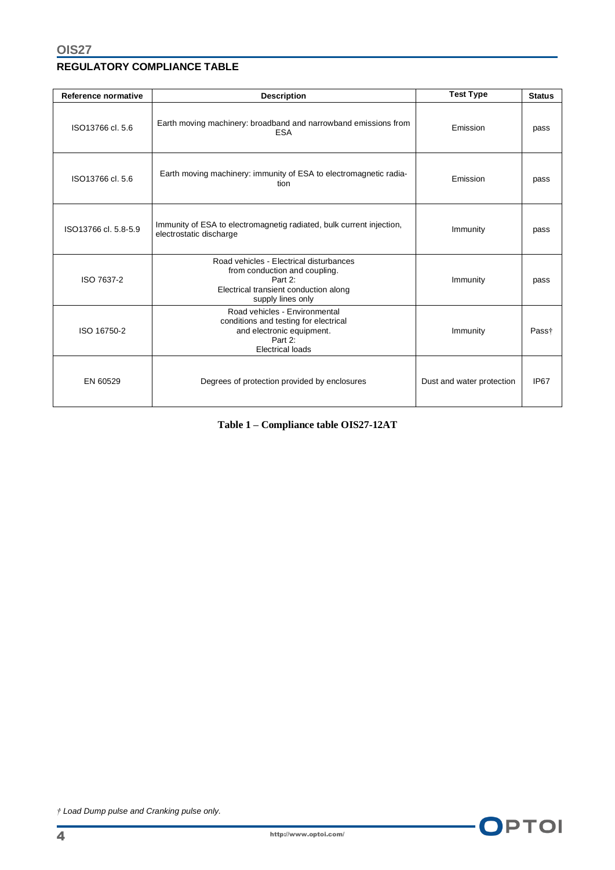## **REGULATORY COMPLIANCE TABLE**

| Reference normative  | <b>Description</b>                                                                                                                                | <b>Test Type</b>          | <b>Status</b>     |
|----------------------|---------------------------------------------------------------------------------------------------------------------------------------------------|---------------------------|-------------------|
| ISO13766 cl. 5.6     | Earth moving machinery: broadband and narrowband emissions from<br><b>ESA</b>                                                                     | Emission                  | pass              |
| ISO13766 cl. 5.6     | Earth moving machinery: immunity of ESA to electromagnetic radia-<br>tion                                                                         | Emission                  | pass              |
| ISO13766 cl. 5.8-5.9 | Immunity of ESA to electromagnetig radiated, bulk current injection,<br>electrostatic discharge                                                   | Immunity                  | pass              |
| ISO 7637-2           | Road vehicles - Electrical disturbances<br>from conduction and coupling.<br>Part 2:<br>Electrical transient conduction along<br>supply lines only | Immunity                  | pass              |
| ISO 16750-2          | Road vehicles - Environmental<br>conditions and testing for electrical<br>and electronic equipment.<br>Part 2:<br><b>Electrical loads</b>         | Immunity                  | Pass <sup>+</sup> |
| EN 60529             | Degrees of protection provided by enclosures                                                                                                      | Dust and water protection | <b>IP67</b>       |

**Table 1 – Compliance table OIS27-12AT**

*† Load Dump pulse and Cranking pulse only.*

OPTOI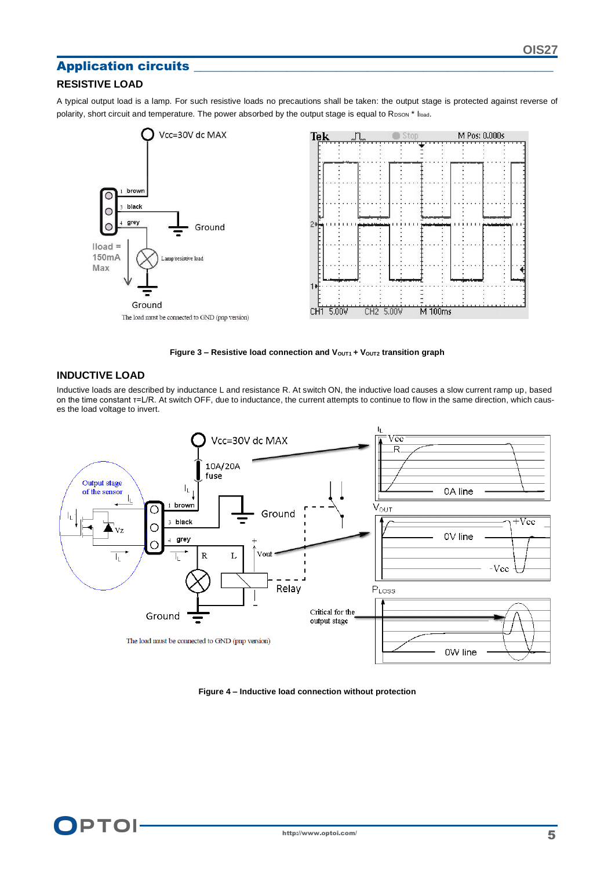# Application circuits \_\_\_\_\_\_\_\_\_\_\_\_\_\_\_\_\_\_\_\_\_\_\_\_\_\_\_\_\_\_\_\_\_\_\_\_\_\_\_\_\_\_\_\_\_\_\_\_\_\_\_\_\_\_\_\_\_\_

## **RESISTIVE LOAD**

A typical output load is a lamp. For such resistive loads no precautions shall be taken: the output stage is protected against reverse of polarity, short circuit and temperature. The power absorbed by the output stage is equal to R<sub>DSON</sub> \* I<sub>load</sub>.



**Figure 3 – Resistive load connection and VOUT1 + VOUT2 transition graph**

#### **INDUCTIVE LOAD**

Inductive loads are described by inductance L and resistance R. At switch ON, the inductive load causes a slow current ramp up, based on the time constant τ=L/R. At switch OFF, due to inductance, the current attempts to continue to flow in the same direction, which causes the load voltage to invert.



**Figure 4 – Inductive load connection without protection**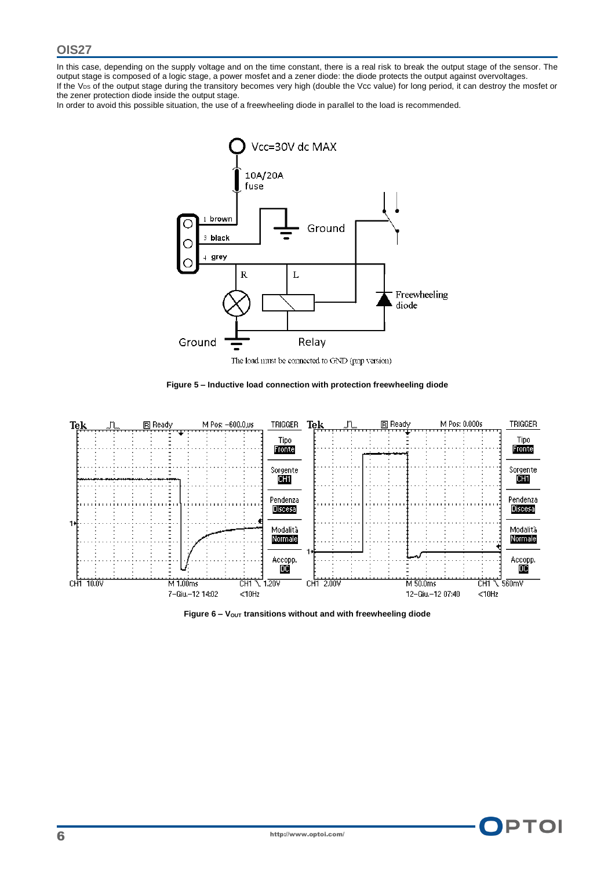In this case, depending on the supply voltage and on the time constant, there is a real risk to break the output stage of the sensor. The output stage is composed of a logic stage, a power mosfet and a zener diode: the diode protects the output against overvoltages. If the  $V_{DS}$  of the output stage during the transitory becomes very high (double the Vcc value) for long period, it can destroy the mosfet or the zener protection diode inside the output stage.

In order to avoid this possible situation, the use of a freewheeling diode in parallel to the load is recommended.



The load must be connected to GND (pmp version)





**Figure 6 – VOUT transitions without and with freewheeling diode**